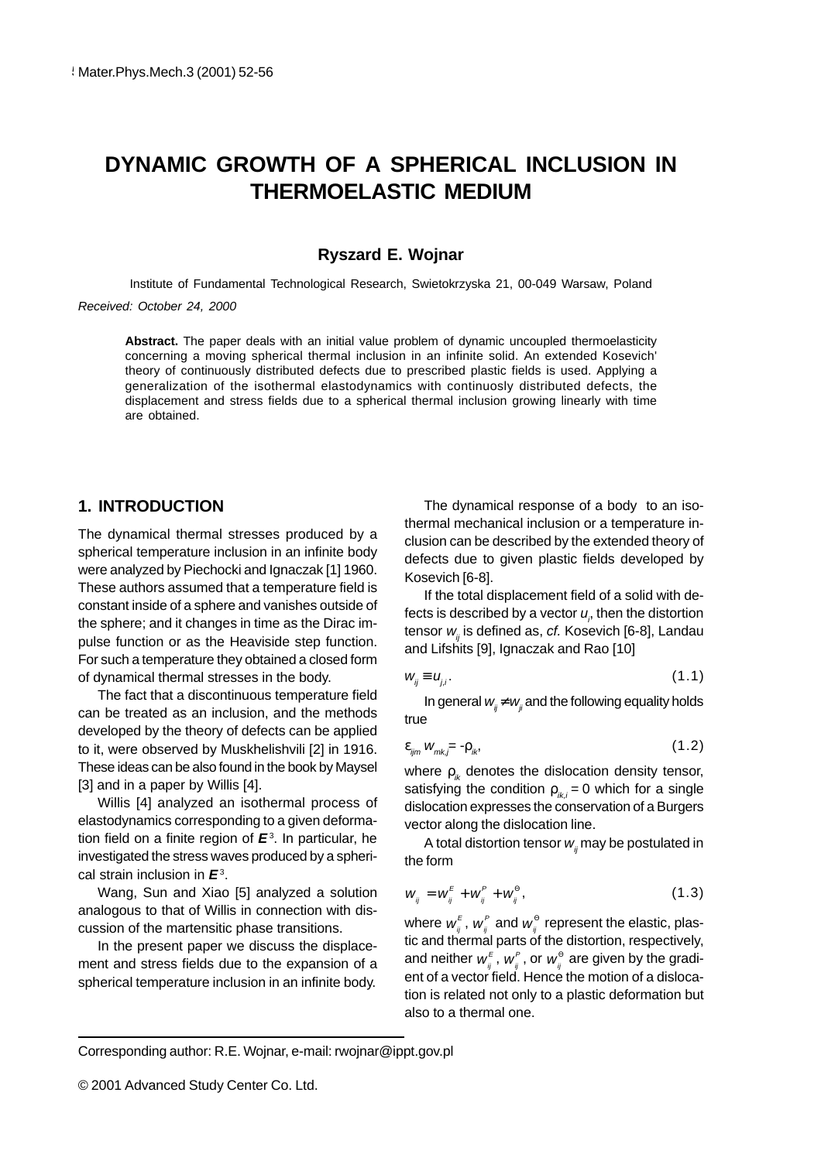# **DYNAMIC GROWTH OF A SPHERICAL INCLUSION IN THERMOELASTIC MEDIUM**

#### **Ryszard E. Wojnar**

Institute of Fundamental Technological Research, Swietokrzyska 21, 00-049 Warsaw, Poland

Received: October 24, 2000

**Abstract.** The paper deals with an initial value problem of dynamic uncoupled thermoelasticity concerning a moving spherical thermal inclusion in an infinite solid. An extended Kosevich' theory of continuously distributed defects due to prescribed plastic fields is used. Applying a generalization of the isothermal elastodynamics with continuosly distributed defects, the displacement and stress fields due to a spherical thermal inclusion growing linearly with time are obtained.

# **1. INTRODUCTION**

The dynamical thermal stresses produced by a spherical temperature inclusion in an infinite body were analyzed by Piechocki and Ignaczak [1] 1960. These authors assumed that a temperature field is constant inside of a sphere and vanishes outside of the sphere; and it changes in time as the Dirac impulse function or as the Heaviside step function. For such a temperature they obtained a closed form of dynamical thermal stresses in the body.

The fact that a discontinuous temperature field can be treated as an inclusion, and the methods developed by the theory of defects can be applied to it, were observed by Muskhelishvili [2] in 1916. These ideas can be also found in the book by Maysel [3] and in a paper by Willis [4].

Willis [4] analyzed an isothermal process of elastodynamics corresponding to a given deformation field on a finite region of **E**<sup>3</sup> . In particular, he investigated the stress waves produced by a spherical strain inclusion in **E**3.

Wang, Sun and Xiao [5] analyzed a solution analogous to that of Willis in connection with discussion of the martensitic phase transitions.

In the present paper we discuss the displacement and stress fields due to the expansion of a spherical temperature inclusion in an infinite body.

The dynamical response of a body to an isothermal mechanical inclusion or a temperature inclusion can be described by the extended theory of defects due to given plastic fields developed by Kosevich [6-8].

If the total displacement field of a solid with defects is described by a vector  $u_{\scriptscriptstyle \rho}$  then the distortion tensor w. is defined as, cf. Kosevich [6-8], Landau and Lifshits [9], Ignaczak and Rao [10]

$$
W_{ij} \equiv U_{ij}.\tag{1.1}
$$

In general  $w_i \neq w_i$  and the following equality holds true

$$
\varepsilon_{ijm} W_{mk,\bar{j}} = \rho_{ik}, \tag{1.2}
$$

where  $\rho_{ik}$  denotes the dislocation density tensor, satisfying the condition  $\rho_{ik,i} = 0$  which for a single dislocation expresses the conservation of a Burgers vector along the dislocation line.

A total distortion tensor  $w_i$  may be postulated in the form

$$
W_{ij} = W_{ij}^E + W_{ij}^P + W_{ij}^\Theta, \qquad (1.3)
$$

where  $w_{_{ij}}^{\varepsilon}$  ,  $w_{_{ij}}^{\varepsilon}$  and  $w_{_{ij}}^{\rm e}$  represent the elastic, plastic and thermal parts of the distortion, respectively, and neither  $w_{_{ij}}^{\varepsilon}$  ,  $w_{_{ij}}^{\rho}$  , or  $w_{_{ij}}^{\Theta}$  are given by the gradient of a vector field. Hence the motion of a dislocation is related not only to a plastic deformation but also to a thermal one.

Corresponding author: R.E. Wojnar, e-mail: rwojnar@ippt.gov.pl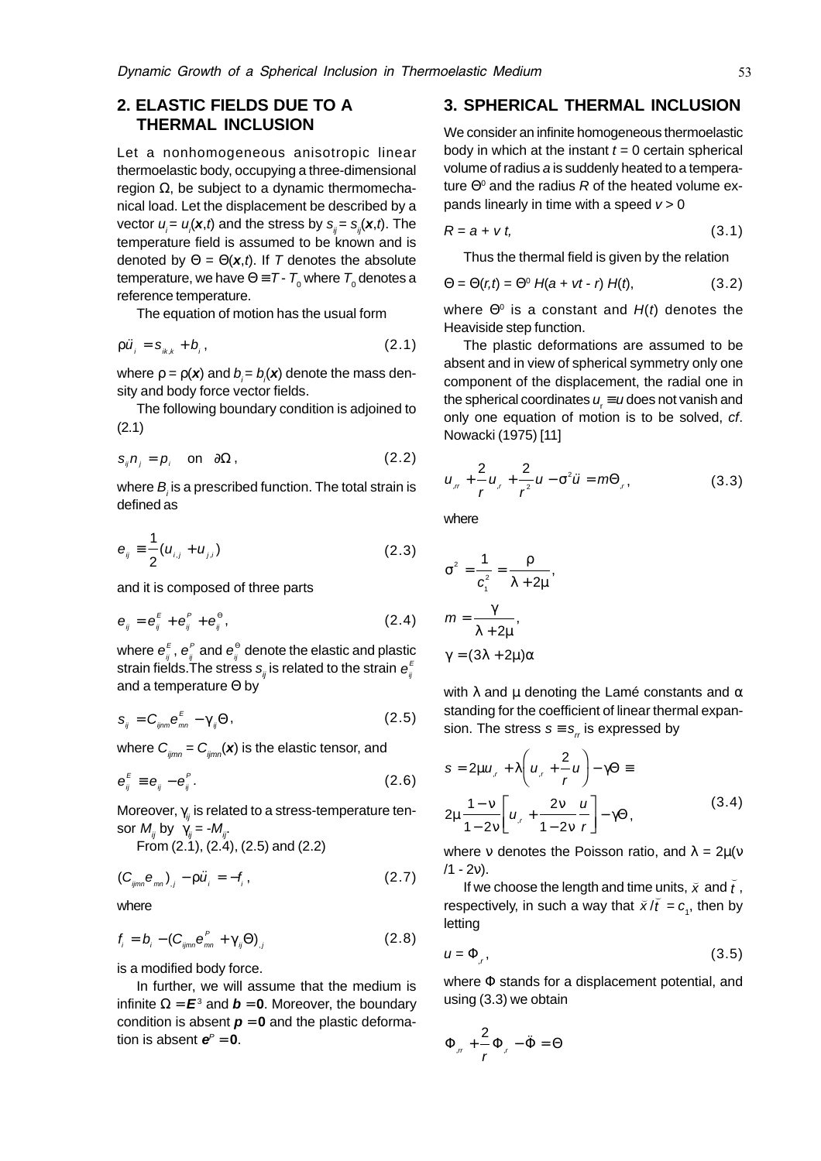# **2. ELASTIC FIELDS DUE TO A THERMAL INCLUSION**

Let a nonhomogeneous anisotropic linear thermoelastic body, occupying a three-dimensional region  $Ω$ , be subject to a dynamic thermomechanical load. Let the displacement be described by a vector  $u_{i}$ =  $u_{i}$ (**x**,*t*) and the stress by  $s_{ij}$ =  $s_{ij}$ (**x**,*t*). The temperature field is assumed to be known and is denoted by  $\Theta = \Theta(\mathbf{x}, t)$ . If T denotes the absolute temperature, we have  $\Theta$   $\equiv$   $7$  -  $\,7_{\tiny 0}$  where  $\,7_{\tiny 0}$  denotes a reference temperature.

The equation of motion has the usual form

$$
\rho \ddot{u}_i = \mathbf{S}_{ik,k} + \mathbf{b}_i, \qquad (2.1)
$$

where  $\rho = \rho(\textbf{\textit{x}})$  and  $b_{\scriptscriptstyle j}$  =  $b_{\scriptscriptstyle j}(\textbf{\textit{x}})$  denote the mass density and body force vector fields.

The following boundary condition is adjoined to (2.1)

$$
s_{ij}n_j = p_i \quad \text{on} \quad \partial\Omega \,, \tag{2.2}
$$

where  $B_{\scriptscriptstyle\mathit{j}}$  is a prescribed function. The total strain is defined as

$$
e_{ij} = \frac{1}{2} (u_{i,j} + u_{j,i})
$$
 (2.3)

and it is composed of three parts

$$
\mathbf{e}_{ij} = \mathbf{e}_{ij}^E + \mathbf{e}_{ij}^P + \mathbf{e}_{ij}^\Theta, \qquad (2.4)
$$

where  $\boldsymbol{e}_{_{\mathit{ij}}}^{_{F}}$  ,  $\boldsymbol{e}_{_{\mathit{ij}}}^{^{P}}$  and  $\boldsymbol{e}_{_{\mathit{ij}}}^{^{\Theta}}$  denote the elastic and plastic strain fields.The stress  $\boldsymbol{s}_{_{ij}}$ is related to the strain  $\boldsymbol{e}_{_{ij}}^E$ and a temperature Θ by

$$
s_{ij} = C_{ijmn} e^E_{mn} - \gamma_{ij} \Theta, \qquad (2.5)
$$

where  $C_{ijmn} = C_{ijmn}(\mathbf{x})$  is the elastic tensor, and

$$
\mathbf{e}_{ij}^E \equiv \mathbf{e}_{ij} - \mathbf{e}_{ij}^P. \tag{2.6}
$$

Moreover,  $\gamma_{ii}$  is related to a stress-temperature tensor  $M_{ii}$  by  $\gamma_{ii} = -M_{ii}$ .

From (2.1), (2.4), (2.5) and (2.2)

$$
\left(C_{ijmn}\mathbf{e}_{mn}\right)_{,j}-\rho\ddot{u}_{i}=-f_{i},\qquad(2.7)
$$

where

$$
f_i = b_i - (C_{ijmn}e^P_{mn} + \gamma_{ij}\Theta)_{,j}
$$
 (2.8)

is a modified body force.

In further, we will assume that the medium is infinite  $\Omega = \boldsymbol{E}^3$  and  $\boldsymbol{b} = \boldsymbol{0}$ . Moreover, the boundary condition is absent  $p = 0$  and the plastic deformation is absent  $e^P = 0$ .

#### **3. SPHERICAL THERMAL INCLUSION**

We consider an infinite homogeneous thermoelastic body in which at the instant  $t = 0$  certain spherical volume of radius a is suddenly heated to a temperature  $\Theta^0$  and the radius  $R$  of the heated volume expands linearly in time with a speed  $v > 0$ 

$$
R = a + vt, \tag{3.1}
$$

Thus the thermal field is given by the relation

$$
\Theta = \Theta(r,t) = \Theta^0 \ H(a + vt - r) \ H(t), \tag{3.2}
$$

where  $\Theta^0$  is a constant and  $H(t)$  denotes the Heaviside step function.

The plastic deformations are assumed to be absent and in view of spherical symmetry only one component of the displacement, the radial one in the spherical coordinates  $u = u$  does not vanish and only one equation of motion is to be solved, cf. Nowacki (1975) [11]

$$
u_{,r} + \frac{2}{r}u_{,r} + \frac{2}{r^2}u - \sigma^2 \ddot{u} = m\Theta_{,r},
$$
 (3.3)

where

$$
\sigma^{2} = \frac{1}{c_{1}^{2}} = \frac{\rho}{\lambda + 2\mu},
$$

$$
m = \frac{\gamma}{\lambda + 2\mu},
$$

$$
\gamma = (3\lambda + 2\mu)\alpha
$$

with  $\lambda$  and  $\mu$  denoting the Lamé constants and  $\alpha$ standing for the coefficient of linear thermal expansion. The stress  $s = s<sub>r</sub>$  is expressed by

$$
s = 2\mu u_r + \lambda \left( u_r + \frac{2}{r} u \right) - \gamma \Theta \equiv
$$
  

$$
2\mu \frac{1 - v}{1 - 2v} \left[ u_r + \frac{2v}{1 - 2v} \frac{u}{r} \right] - \gamma \Theta,
$$
 (3.4)

where v denotes the Poisson ratio, and  $\lambda = 2\mu(v)$  $(1 - 2v)$ .

*L*v).<br>If we choose the length and time units,  $\tilde{\mathsf{x}}$  and  $\tilde{\mathsf{f}}$ units,  $\breve{\mathsf{x}}$  and  $\breve{\mathsf{t}}$  , respectively, in such a way that  $\overline{x}/\overline{t} = c_1$ , then by letting

$$
u = \Phi_{,r},\tag{3.5}
$$

where Φ stands for a displacement potential, and using (3.3) we obtain

$$
\Phi_{,n} + \frac{2}{r} \Phi_{,r} - \ddot{\Phi} = \Theta
$$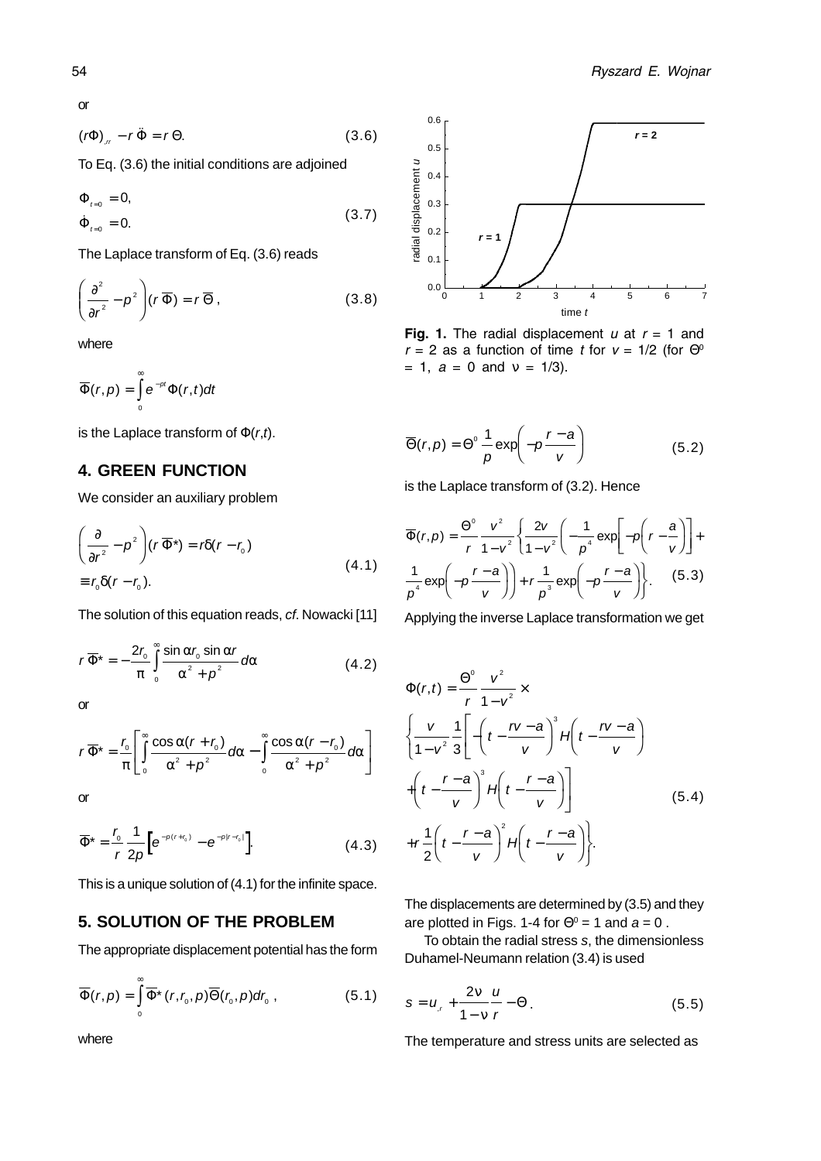or

$$
(r\Phi)_{,r} - r\ddot{\Phi} = r\Theta.
$$
 (3.6)

To Eq. (3.6) the initial conditions are adjoined

$$
\Phi_{t=0} = 0,
$$
\n
$$
\dot{\Phi}_{t=0} = 0.
$$
\n(3.7)

The Laplace transform of Eq. (3.6) reads

$$
\left(\frac{\partial^2}{\partial r^2} - \rho^2\right)(r\overline{\Phi}) = r\overline{\Theta},
$$
\n(3.8)

where

$$
\overline{\Phi}(r,p)=\int\limits_{0}^{\infty}e^{-pt}\Phi(r,t)dt
$$

is the Laplace transform of  $\Phi(r,t)$ .

## **4. GREEN FUNCTION**

We consider an auxiliary problem

$$
\left(\frac{\partial}{\partial r^2} - \rho^2\right)(r\overline{\Phi}^*) = r\delta(r - r_0)
$$
\n
$$
\equiv r_0 \delta(r - r_0).
$$
\n(4.1)

The solution of this equation reads, cf. Nowacki [11]

$$
r\overline{\Phi}^* = -\frac{2r_0}{\pi} \int_0^\infty \frac{\sin \alpha r_0 \sin \alpha r}{\alpha^2 + \rho^2} d\alpha
$$
 (4.2)

or

$$
r\overline{\Phi}^* = \frac{r_0}{\pi} \left[ \int_0^\infty \frac{\cos \alpha (r + r_0)}{\alpha^2 + \rho^2} d\alpha - \int_0^\infty \frac{\cos \alpha (r - r_0)}{\alpha^2 + \rho^2} d\alpha \right]
$$

or

$$
\overline{\Phi}^* = \frac{r_0}{r} \frac{1}{2p} \Big[ e^{-p(r + r_0)} - e^{-p|r - r_0|} \Big].
$$
 (4.3)

This is a unique solution of (4.1) for the infinite space.

## **5. SOLUTION OF THE PROBLEM**

The appropriate displacement potential has the form

$$
\overline{\Phi}(r,p) = \int_{0}^{\infty} \overline{\Phi}^{*}(r,r_{0},p) \overline{\Theta}(r_{0},p) dr_{0}, \qquad (5.1)
$$



Fig. 1. The radial displacement  $u$  at  $r = 1$  and  $r = 2$  as a function of time t for  $v = 1/2$  (for  $\Theta^0$  $= 1, a = 0$  and  $v = 1/3$ ).

$$
\overline{\Theta}(r,p) = \Theta^{\circ} \frac{1}{p} \exp\left(-p \frac{r-a}{v}\right)
$$
 (5.2)

is the Laplace transform of (3.2). Hence

$$
\overline{\Phi}(r,p) = \frac{\Theta^0}{r} \frac{v^2}{1 - v^2} \left\{ \frac{2v}{1 - v^2} \left( -\frac{1}{p^4} \exp\left[ -p \left( r - \frac{a}{v} \right) \right] + \frac{1}{p^4} \exp\left( -p \frac{r - a}{v} \right) \right\} + r \frac{1}{p^3} \exp\left( -p \frac{r - a}{v} \right) \right\}.
$$
 (5.3)

Applying the inverse Laplace transformation we get

$$
\Phi(r,t) = \frac{\Theta^0}{r} \frac{v^2}{1 - v^2} \times \left\{ \frac{v}{1 - v^2} \frac{1}{3} \left[ -\left( t - \frac{rv - a}{v} \right)^3 H \left( t - \frac{rv - a}{v} \right) \right. \right. \\ \left. + \left( t - \frac{r - a}{v} \right)^3 H \left( t - \frac{r - a}{v} \right) \right\} \qquad (5.4)
$$
\n
$$
+ r \frac{1}{2} \left( t - \frac{r - a}{v} \right)^2 H \left( t - \frac{r - a}{v} \right) \left. \right\}.
$$

The displacements are determined by (3.5) and they are plotted in Figs. 1-4 for  $\Theta$ <sup>0</sup> = 1 and  $a = 0$ .

To obtain the radial stress s, the dimensionless Duhamel-Neumann relation (3.4) is used

$$
s = u_{,r} + \frac{2v}{1 - v} \frac{u}{r} - \Theta.
$$
 (5.5)

The temperature and stress units are selected as

where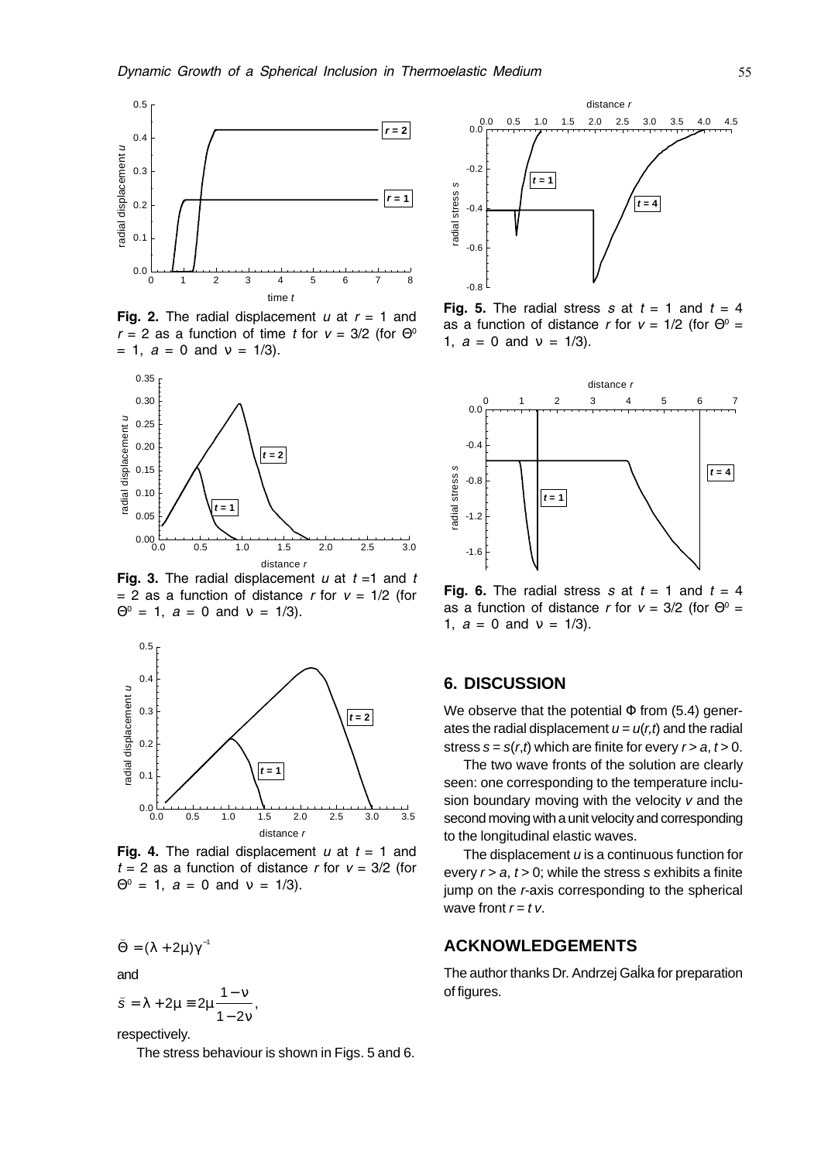

Fig. 2. The radial displacement  $u$  at  $r = 1$  and  $r$  = 2 as a function of time t for  $v$  = 3/2 (for  $\Theta^0$  $= 1, a = 0$  and  $v = 1/3$ ).



Fig. 3. The radial displacement  $u$  at  $t = 1$  and  $t$  $=$  2 as a function of distance r for  $v = 1/2$  (for  $\Theta^0 = 1$ ,  $a = 0$  and  $v = 1/3$ ).



Fig. 4. The radial displacement  $u$  at  $t = 1$  and  $t = 2$  as a function of distance r for  $v = 3/2$  (for  $\Theta^0 = 1$ ,  $a = 0$  and  $v = 1/3$ ).

 $\breve{\Theta} = (\lambda + 2\mu)\gamma^{-1}$ 

and

$$
\breve{s}=\lambda+2\mu\equiv 2\mu\frac{1-\nu}{1-2\nu},
$$

respectively.

The stress behaviour is shown in Figs. 5 and 6.



Fig. 5. The radial stress s at  $t = 1$  and  $t = 4$ as a function of distance r for  $v = 1/2$  (for  $\Theta^0 =$ 1,  $a = 0$  and  $v = 1/3$ ).



**Fig. 6.** The radial stress  $s$  at  $t = 1$  and  $t = 4$ as a function of distance r for  $v$  = 3/2 (for  $\Theta^0$  = 1,  $a = 0$  and  $v = 1/3$ ).

#### **6. DISCUSSION**

We observe that the potential  $\Phi$  from (5.4) generates the radial displacement  $u = u(r,t)$  and the radial stress  $s = s(r, t)$  which are finite for every  $r > a$ ,  $t > 0$ .

The two wave fronts of the solution are clearly seen: one corresponding to the temperature inclusion boundary moving with the velocity  $v$  and the second moving with a unit velocity and corresponding to the longitudinal elastic waves.

The displacement  $u$  is a continuous function for every  $r > a$ ,  $t > 0$ ; while the stress s exhibits a finite jump on the r-axis corresponding to the spherical wave front  $r = t$  v.

# **ACKNOWLEDGEMENTS**

The author thanks Dr. Andrzej Galka for preparation of figures.